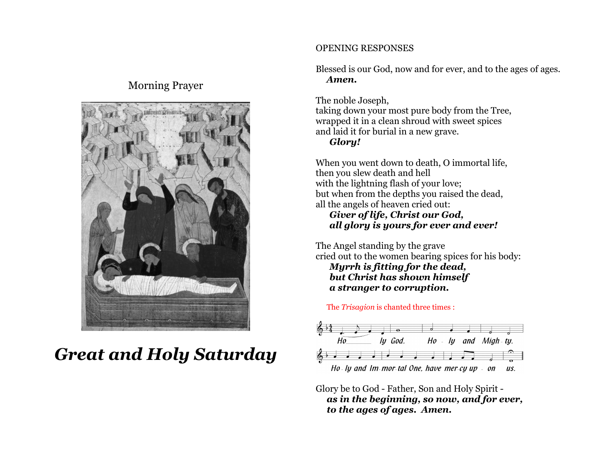## Morning Prayer



# *Great and Holy Saturday*

#### OPENING RESPONSES

Blessed is our God, now and for ever, and to the ages of ages. *Amen.* 

The noble Joseph, taking down your most pure body from the Tree, wrapped it in a clean shroud with sweet spices and laid it for burial in a new grave.  *Glory!* 

When you went down to death, O immortal life, then you slew death and hell with the lightning flash of your love; but when from the depths you raised the dead, all the angels of heaven cried out:

#### *Giver of life, Christ our God, all glory is yours for ever and ever!*

The Angel standing by the grave cried out to the women bearing spices for his body: *Myrrh is fitting for the dead, but Christ has shown himself a stranger to corruption.* 

The *Trisagion* is chanted three times :



Glory be to God - Father, Son and Holy Spirit -  *as in the beginning, so now, and for ever,to the ages of ages. Amen.*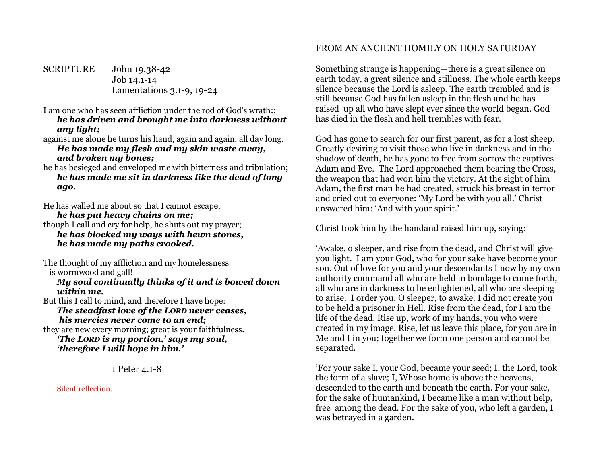- SCRIPTURE John 19.38-42 Job 14.1-14 Lamentations 3.1-9, 19-24
- I am one who has seen affliction under the rod of God's wrath:; *he has driven and brought me into darkness without any light;*
- against me alone he turns his hand, again and again, all day long. *He has made my flesh and my skin waste away, and broken my bones;*
- he has besieged and enveloped me with bitterness and tribulation; *he has made me sit in darkness like the dead of long ago.*

He has walled me about so that I cannot escape; *he has put heavy chains on me;*  though I call and cry for help, he shuts out my prayer; *he has blocked my ways with hewn stones, he has made my paths crooked.* 

The thought of my affliction and my homelessness is wormwood and gall!

 *My soul continually thinks of it and is bowed down within me.* 

But this I call to mind, and therefore I have hope:

 *The steadfast love of the LORD never ceases, his mercies never come to an end;*

they are new every morning; great is your faithfulness.

*'The LORD is my portion,' says my soul, 'therefore I will hope in him.'* 

1 Peter 4.1-8

Silent reflection.

## FROM AN ANCIENT HOMILY ON HOLY SATURDAY

Something strange is happening—there is a great silence on earth today, a great silence and stillness. The whole earth keeps silence because the Lord is asleep. The earth trembled and is still because God has fallen asleep in the flesh and he has raised up all who have slept ever since the world began. God has died in the flesh and hell trembles with fear.

God has gone to search for our first parent, as for a lost sheep. Greatly desiring to visit those who live in darkness and in the shadow of death, he has gone to free from sorrow the captives Adam and Eve. The Lord approached them bearing the Cross, the weapon that had won him the victory. At the sight of him Adam, the first man he had created, struck his breast in terror and cried out to everyone: 'My Lord be with you all.' Christ answered him: 'And with your spirit.'

Christ took him by the handand raised him up, saying:

'Awake, o sleeper, and rise from the dead, and Christ will give you light. I am your God, who for your sake have become your son. Out of love for you and your descendants I now by my own authority command all who are held in bondage to come forth, all who are in darkness to be enlightened, all who are sleeping to arise. I order you, O sleeper, to awake. I did not create you to be held a prisoner in Hell. Rise from the dead, for I am the life of the dead. Rise up, work of my hands, you who were created in my image. Rise, let us leave this place, for you are in Me and I in you; together we form one person and cannot be separated.

'For your sake I, your God, became your seed; I, the Lord, took the form of a slave; I, Whose home is above the heavens, descended to the earth and beneath the earth. For your sake, for the sake of humankind, I became like a man without help, free among the dead. For the sake of you, who left a garden, I was betrayed in a garden.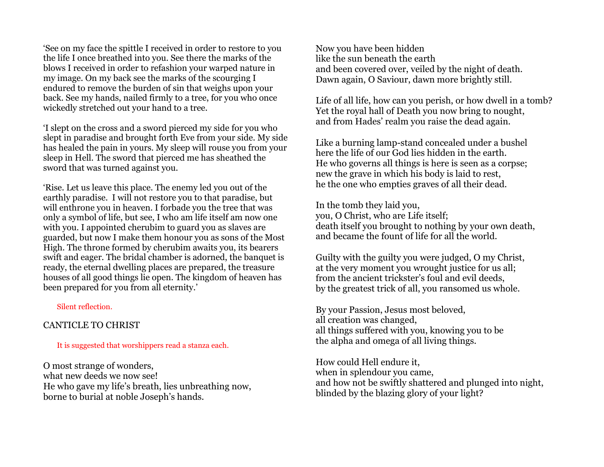'See on my face the spittle I received in order to restore to you the life I once breathed into you. See there the marks of the blows I received in order to refashion your warped nature in my image. On my back see the marks of the scourging I endured to remove the burden of sin that weighs upon your back. See my hands, nailed firmly to a tree, for you who once wickedly stretched out your hand to a tree.

'I slept on the cross and a sword pierced my side for you who slept in paradise and brought forth Eve from your side. My side has healed the pain in yours. My sleep will rouse you from your sleep in Hell. The sword that pierced me has sheathed the sword that was turned against you.

'Rise. Let us leave this place. The enemy led you out of the earthly paradise. I will not restore you to that paradise, but will enthrone you in heaven. I forbade you the tree that was only a symbol of life, but see, I who am life itself am now one with you. I appointed cherubim to guard you as slaves are guarded, but now I make them honour you as sons of the Most High. The throne formed by cherubim awaits you, its bearers swift and eager. The bridal chamber is adorned, the banquet is ready, the eternal dwelling places are prepared, the treasure houses of all good things lie open. The kingdom of heaven has been prepared for you from all eternity.'

#### Silent reflection.

#### CANTICLE TO CHRIST

It is suggested that worshippers read a stanza each.

O most strange of wonders, what new deeds we now see! He who gave my life's breath, lies unbreathing now, borne to burial at noble Joseph's hands.

Now you have been hidden like the sun beneath the earth and been covered over, veiled by the night of death. Dawn again, O Saviour, dawn more brightly still.

Life of all life, how can you perish, or how dwell in a tomb? Yet the royal hall of Death you now bring to nought, and from Hades' realm you raise the dead again.

Like a burning lamp-stand concealed under a bushel here the life of our God lies hidden in the earth. He who governs all things is here is seen as a corpse; new the grave in which his body is laid to rest, he the one who empties graves of all their dead.

In the tomb they laid you, you, O Christ, who are Life itself; death itself you brought to nothing by your own death, and became the fount of life for all the world.

Guilty with the guilty you were judged, O my Christ,at the very moment you wrought justice for us all; from the ancient trickster's foul and evil deeds, by the greatest trick of all, you ransomed us whole.

By your Passion, Jesus most beloved, all creation was changed, all things suffered with you, knowing you to be the alpha and omega of all living things.

How could Hell endure it, when in splendour you came, and how not be swiftly shattered and plunged into night, blinded by the blazing glory of your light?